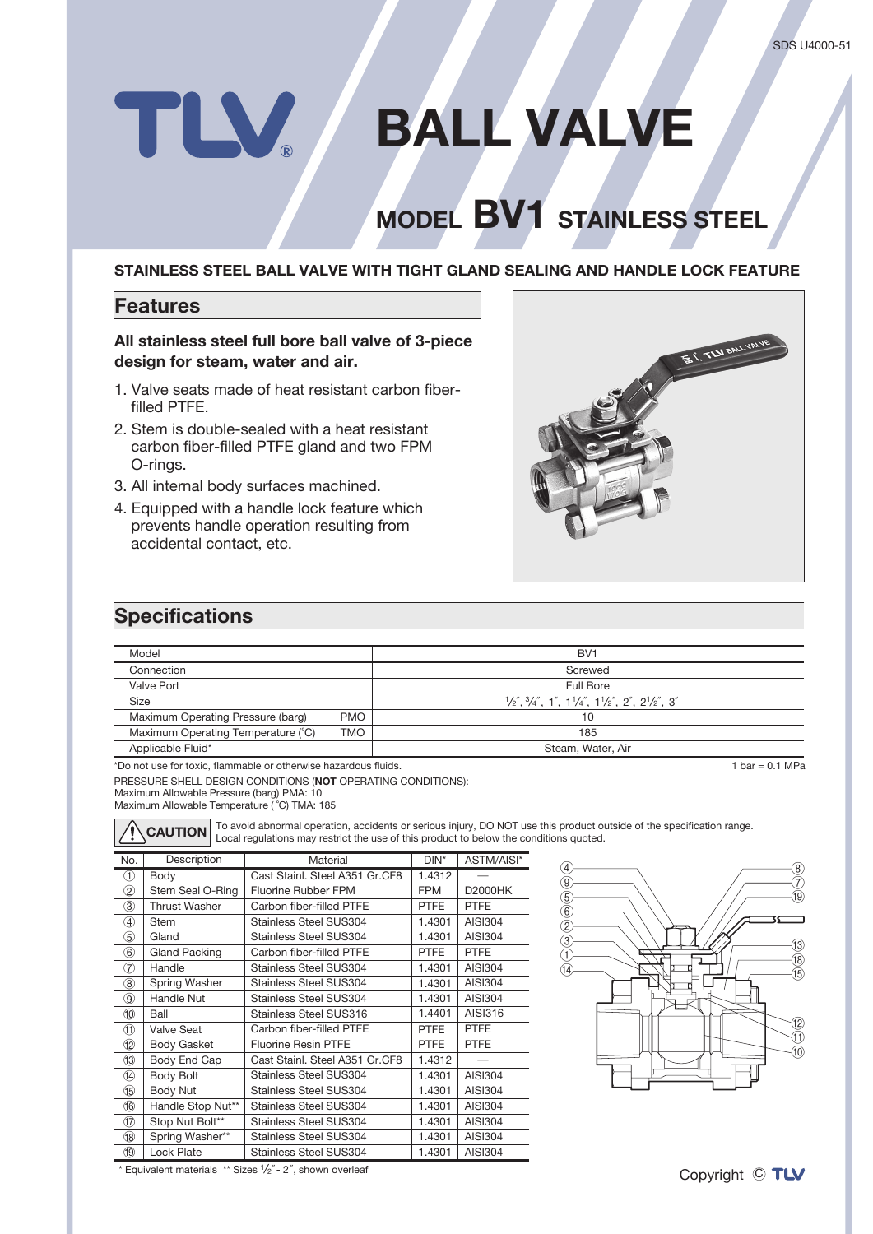# TLV. **BALL VALVE**

## **NODEL BV1** STAINLESS STEEL

#### **STAINLESS STEEL BALL VALVE WITH TIGHT GLAND SEALING AND HANDLE LOCK FEATURE**

#### **Features**

#### All stainless steel full bore ball valve of 3-piece design for steam, water and air.

- 1. Valve seats made of heat resistant carbon fiber-<br>filled PTFE.
- 2. Stem is double-sealed with a heat resistant carbon fiber-filled PTFE gland and two FPM O-rings.
- 3. All internal body surfaces machined.
- 4. Equipped with a handle lock feature which prevents handle operation resulting from accidental contact, etc.



#### **Specifications**

| Model                              |            | BV <sub>1</sub>                                                                                                                                                               |
|------------------------------------|------------|-------------------------------------------------------------------------------------------------------------------------------------------------------------------------------|
| Connection                         |            | Screwed                                                                                                                                                                       |
| Valve Port                         |            | Full Bore                                                                                                                                                                     |
| <b>Size</b>                        |            | $\frac{1}{2}$ , $\frac{3}{4}$ , $\frac{4}{1}$ , $\frac{1}{4}$ , $\frac{1}{4}$ , $\frac{1}{2}$ , $\frac{1}{2}$ , $\frac{2}{1}$ , $\frac{2}{2}$ , $\frac{2}{1}$ , $\frac{2}{3}$ |
| Maximum Operating Pressure (barg)  | <b>PMO</b> | 10                                                                                                                                                                            |
| Maximum Operating Temperature (°C) | TMO        | 185                                                                                                                                                                           |
| Applicable Fluid*                  |            | Steam, Water, Air                                                                                                                                                             |

\*Do not use for toxic, flammable or otherwise hazardous fluids

PRESSURE SHELL DESIGN CONDITIONS (NOT OPERATING CONDITIONS):

Maximum Allowable Pressure (barg) PMA: 10

Maximum Allowable Temperature (°C) TMA: 185



**CAUTION** To avoid abnormal operation, accidents or serious injury, DO NOT use this product outside of the specification range.<br>**CAUTION** Local regulations may restrict the use of this product to below the conditions quote

| No.           | Description          | Material                       | DIN*        | ASTM/AISI*     |
|---------------|----------------------|--------------------------------|-------------|----------------|
| (T)           | Body                 | Cast Stainl. Steel A351 Gr.CF8 | 1.4312      |                |
| $^\copyright$ | Stem Seal O-Ring     | Fluorine Rubber FPM            | <b>FPM</b>  | <b>D2000HK</b> |
| 3)            | Thrust Washer        | Carbon fiber-filled PTFE       | <b>PTFE</b> | <b>PTFE</b>    |
| 4             | <b>Stem</b>          | <b>Stainless Steel SUS304</b>  | 1.4301      | AISI304        |
| 5             | Gland                | Stainless Steel SUS304         | 1.4301      | AISI304        |
| 6             | <b>Gland Packing</b> | Carbon fiber-filled PTFE       | <b>PTFE</b> | <b>PTFE</b>    |
| 7             | Handle               | <b>Stainless Steel SUS304</b>  | 1.4301      | AISI304        |
| $^\circledR$  | Spring Washer        | <b>Stainless Steel SUS304</b>  | 1.4301      | AISI304        |
| ⊚             | Handle Nut           | <b>Stainless Steel SUS304</b>  | 1.4301      | AISI304        |
| 10            | Ball                 | Stainless Steel SUS316         | 1.4401      | AISI316        |
| ⑪             | <b>Valve Seat</b>    | Carbon fiber-filled PTFE       | <b>PTFE</b> | <b>PTFE</b>    |
| I2            | <b>Body Gasket</b>   | <b>Fluorine Resin PTFE</b>     | <b>PTFE</b> | <b>PTFE</b>    |
| 13            | Body End Cap         | Cast Stainl. Steel A351 Gr.CF8 | 1.4312      |                |
| II)           | Body Bolt            | <b>Stainless Steel SUS304</b>  | 1.4301      | AISI304        |
| Œ,            | Body Nut             | <b>Stainless Steel SUS304</b>  | 1.4301      | AISI304        |
| 16            | Handle Stop Nut**    | <b>Stainless Steel SUS304</b>  | 1.4301      | AISI304        |
| IT)           | Stop Nut Bolt**      | <b>Stainless Steel SUS304</b>  | 1.4301      | AISI304        |
| 18            | Spring Washer**      | Stainless Steel SUS304         | 1.4301      | AISI304        |
| (19)          | Lock Plate           | <b>Stainless Steel SUS304</b>  | 1.4301      | <b>AISI304</b> |



\* Equivalent materials \*\* Sizes  $\frac{1}{2}$ " - 2", shown overleaf

 $\overline{1 \text{ bar} = 0.1 \text{ MPa}}$